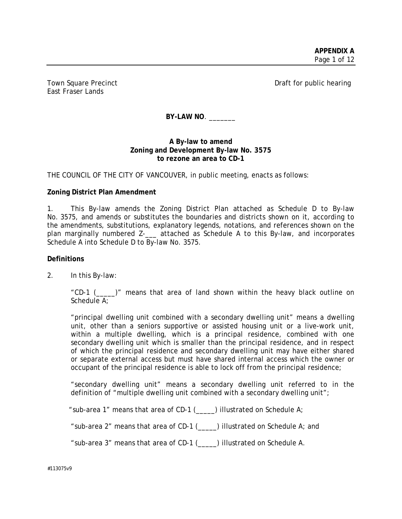East Fraser Lands

Town Square Precinct **The Example 2018** Town Square Precinct

BY-LAW NO.

# **A By-law to amend Zoning and Development By-law No. 3575 to rezone an area to CD-1**

THE COUNCIL OF THE CITY OF VANCOUVER, in public meeting, enacts as follows:

# **Zoning District Plan Amendment**

1. This By-law amends the Zoning District Plan attached as Schedule D to By-law No. 3575, and amends or substitutes the boundaries and districts shown on it, according to the amendments, substitutions, explanatory legends, notations, and references shown on the plan marginally numbered Z-\_\_\_ attached as Schedule A to this By-law, and incorporates Schedule A into Schedule D to By-law No. 3575.

## **Definitions**

2. In this By-law:

"CD-1 (\_\_\_\_\_)" means that area of land shown within the heavy black outline on Schedule A;

"principal dwelling unit combined with a secondary dwelling unit" means a dwelling unit, other than a seniors supportive or assisted housing unit or a live-work unit, within a multiple dwelling, which is a principal residence, combined with one secondary dwelling unit which is smaller than the principal residence, and in respect of which the principal residence and secondary dwelling unit may have either shared or separate external access but must have shared internal access which the owner or occupant of the principal residence is able to lock off from the principal residence;

"secondary dwelling unit" means a secondary dwelling unit referred to in the definition of "multiple dwelling unit combined with a secondary dwelling unit";

"sub-area 1" means that area of CD-1 (\_\_\_\_\_) illustrated on Schedule A;

"sub-area 2" means that area of CD-1 (\_\_\_\_\_) illustrated on Schedule A; and

"sub-area 3" means that area of CD-1 (\_\_\_\_\_) illustrated on Schedule A.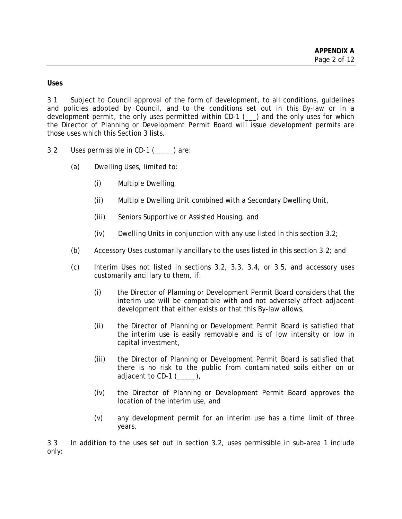**Uses** 

3.1 Subject to Council approval of the form of development, to all conditions, guidelines and policies adopted by Council, and to the conditions set out in this By-law or in a development permit, the only uses permitted within CD-1 (\_\_\_) and the only uses for which the Director of Planning or Development Permit Board will issue development permits are those uses which this Section 3 lists.

- 3.2 Uses permissible in CD-1 (\_\_\_\_\_) are:
	- (a) Dwelling Uses, limited to:
		- (i) Multiple Dwelling,
		- (ii) Multiple Dwelling Unit combined with a Secondary Dwelling Unit,
		- (iii) Seniors Supportive or Assisted Housing, and
		- (iv) Dwelling Units in conjunction with any use listed in this section 3.2;
	- (b) Accessory Uses customarily ancillary to the uses listed in this section 3.2; and
	- (c) Interim Uses not listed in sections 3.2, 3.3, 3.4, or 3.5, and accessory uses customarily ancillary to them, if:
		- (i) the Director of Planning or Development Permit Board considers that the interim use will be compatible with and not adversely affect adjacent development that either exists or that this By-law allows,
		- (ii) the Director of Planning or Development Permit Board is satisfied that the interim use is easily removable and is of low intensity or low in capital investment,
		- (iii) the Director of Planning or Development Permit Board is satisfied that there is no risk to the public from contaminated soils either on or adjacent to CD-1 (),
		- (iv) the Director of Planning or Development Permit Board approves the location of the interim use, and
		- (v) any development permit for an interim use has a time limit of three years.

3.3 In addition to the uses set out in section 3.2, uses permissible in sub-area 1 include only: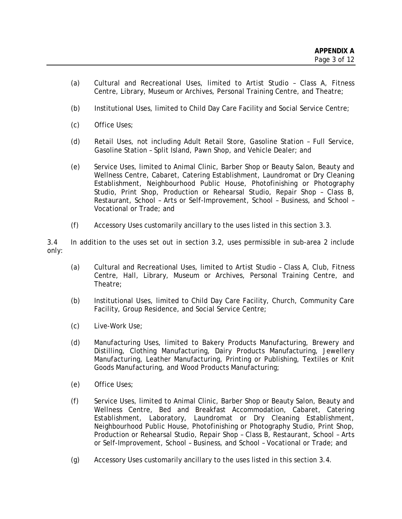- (a) Cultural and Recreational Uses, limited to Artist Studio Class A, Fitness Centre, Library, Museum or Archives, Personal Training Centre, and Theatre;
- (b) Institutional Uses, limited to Child Day Care Facility and Social Service Centre;
- (c) Office Uses;
- (d) Retail Uses, not including Adult Retail Store, Gasoline Station Full Service, Gasoline Station – Split Island, Pawn Shop, and Vehicle Dealer; and
- (e) Service Uses, limited to Animal Clinic, Barber Shop or Beauty Salon, Beauty and Wellness Centre, Cabaret, Catering Establishment, Laundromat or Dry Cleaning Establishment, Neighbourhood Public House, Photofinishing or Photography Studio, Print Shop, Production or Rehearsal Studio, Repair Shop – Class B, Restaurant, School – Arts or Self-Improvement, School – Business, and School – Vocational or Trade; and
- (f) Accessory Uses customarily ancillary to the uses listed in this section 3.3.

3.4 In addition to the uses set out in section 3.2, uses permissible in sub-area 2 include only:

- (a) Cultural and Recreational Uses, limited to Artist Studio Class A, Club, Fitness Centre, Hall, Library, Museum or Archives, Personal Training Centre, and Theatre;
- (b) Institutional Uses, limited to Child Day Care Facility, Church, Community Care Facility, Group Residence, and Social Service Centre;
- (c) Live-Work Use;
- (d) Manufacturing Uses, limited to Bakery Products Manufacturing, Brewery and Distilling, Clothing Manufacturing, Dairy Products Manufacturing, Jewellery Manufacturing, Leather Manufacturing, Printing or Publishing, Textiles or Knit Goods Manufacturing, and Wood Products Manufacturing;
- (e) Office Uses;
- (f) Service Uses, limited to Animal Clinic, Barber Shop or Beauty Salon, Beauty and Wellness Centre, Bed and Breakfast Accommodation, Cabaret, Catering Establishment, Laboratory, Laundromat or Dry Cleaning Establishment, Neighbourhood Public House, Photofinishing or Photography Studio, Print Shop, Production or Rehearsal Studio, Repair Shop – Class B, Restaurant, School – Arts or Self-Improvement, School – Business, and School – Vocational or Trade; and
- (g) Accessory Uses customarily ancillary to the uses listed in this section 3.4.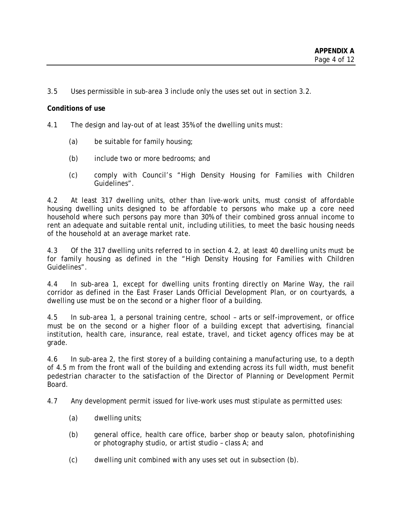3.5 Uses permissible in sub-area 3 include only the uses set out in section 3.2.

## **Conditions of use**

4.1 The design and lay-out of at least 35% of the dwelling units must:

- (a) be suitable for family housing;
- (b) include two or more bedrooms; and
- (c) comply with Council's "High Density Housing for Families with Children Guidelines".

4.2 At least 317 dwelling units, other than live-work units, must consist of affordable housing dwelling units designed to be affordable to persons who make up a core need household where such persons pay more than 30% of their combined gross annual income to rent an adequate and suitable rental unit, including utilities, to meet the basic housing needs of the household at an average market rate.

4.3 Of the 317 dwelling units referred to in section 4.2, at least 40 dwelling units must be for family housing as defined in the "High Density Housing for Families with Children Guidelines".

4.4 In sub-area 1, except for dwelling units fronting directly on Marine Way, the rail corridor as defined in the East Fraser Lands Official Development Plan, or on courtyards, a dwelling use must be on the second or a higher floor of a building.

4.5 In sub-area 1, a personal training centre, school – arts or self-improvement, or office must be on the second or a higher floor of a building except that advertising, financial institution, health care, insurance, real estate, travel, and ticket agency offices may be at grade.

4.6 In sub-area 2, the first storey of a building containing a manufacturing use, to a depth of 4.5 m from the front wall of the building and extending across its full width, must benefit pedestrian character to the satisfaction of the Director of Planning or Development Permit Board.

4.7 Any development permit issued for live-work uses must stipulate as permitted uses:

- (a) dwelling units;
- (b) general office, health care office, barber shop or beauty salon, photofinishing or photography studio, or artist studio – class A; and
- (c) dwelling unit combined with any uses set out in subsection (b).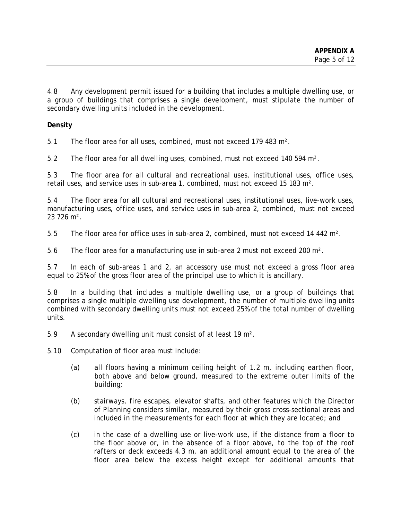4.8 Any development permit issued for a building that includes a multiple dwelling use, or a group of buildings that comprises a single development, must stipulate the number of secondary dwelling units included in the development.

# **Density**

5.1 The floor area for all uses, combined, must not exceed 179 483 m².

5.2 The floor area for all dwelling uses, combined, must not exceed 140 594 m².

5.3 The floor area for all cultural and recreational uses, institutional uses, office uses, retail uses, and service uses in sub-area 1, combined, must not exceed 15 183 m².

5.4 The floor area for all cultural and recreational uses, institutional uses, live-work uses, manufacturing uses, office uses, and service uses in sub-area 2, combined, must not exceed 23 726 m².

5.5 The floor area for office uses in sub-area 2, combined, must not exceed 14 442 m².

5.6 The floor area for a manufacturing use in sub-area 2 must not exceed 200 m².

5.7 In each of sub-areas 1 and 2, an accessory use must not exceed a gross floor area equal to 25% of the gross floor area of the principal use to which it is ancillary.

5.8 In a building that includes a multiple dwelling use, or a group of buildings that comprises a single multiple dwelling use development, the number of multiple dwelling units combined with secondary dwelling units must not exceed 25% of the total number of dwelling units.

5.9 A secondary dwelling unit must consist of at least 19 m².

5.10 Computation of floor area must include:

- (a) all floors having a minimum ceiling height of 1.2 m, including earthen floor, both above and below ground, measured to the extreme outer limits of the building;
- (b) stairways, fire escapes, elevator shafts, and other features which the Director of Planning considers similar, measured by their gross cross-sectional areas and included in the measurements for each floor at which they are located; and
- (c) in the case of a dwelling use or live-work use, if the distance from a floor to the floor above or, in the absence of a floor above, to the top of the roof rafters or deck exceeds 4.3 m, an additional amount equal to the area of the floor area below the excess height except for additional amounts that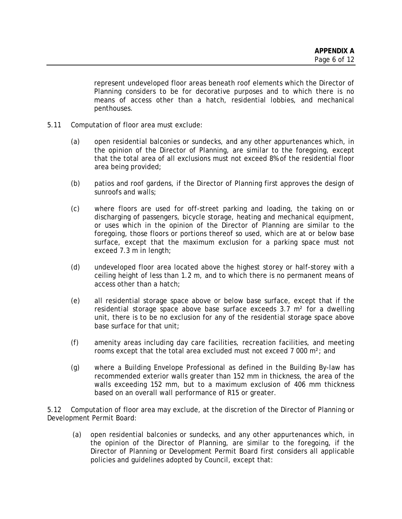represent undeveloped floor areas beneath roof elements which the Director of Planning considers to be for decorative purposes and to which there is no means of access other than a hatch, residential lobbies, and mechanical penthouses.

- 5.11 Computation of floor area must exclude:
	- (a) open residential balconies or sundecks, and any other appurtenances which, in the opinion of the Director of Planning, are similar to the foregoing, except that the total area of all exclusions must not exceed 8% of the residential floor area being provided;
	- (b) patios and roof gardens, if the Director of Planning first approves the design of sunroofs and walls;
	- (c) where floors are used for off-street parking and loading, the taking on or discharging of passengers, bicycle storage, heating and mechanical equipment, or uses which in the opinion of the Director of Planning are similar to the foregoing, those floors or portions thereof so used, which are at or below base surface, except that the maximum exclusion for a parking space must not exceed 7.3 m in length;
	- (d) undeveloped floor area located above the highest storey or half-storey with a ceiling height of less than 1.2 m, and to which there is no permanent means of access other than a hatch;
	- (e) all residential storage space above or below base surface, except that if the residential storage space above base surface exceeds  $3.7 \text{ m}^2$  for a dwelling unit, there is to be no exclusion for any of the residential storage space above base surface for that unit;
	- (f) amenity areas including day care facilities, recreation facilities, and meeting rooms except that the total area excluded must not exceed 7 000 m²; and
	- (g) where a Building Envelope Professional as defined in the Building By-law has recommended exterior walls greater than 152 mm in thickness, the area of the walls exceeding 152 mm, but to a maximum exclusion of 406 mm thickness based on an overall wall performance of R15 or greater.

5.12 Computation of floor area may exclude, at the discretion of the Director of Planning or Development Permit Board:

(a) open residential balconies or sundecks, and any other appurtenances which, in the opinion of the Director of Planning, are similar to the foregoing, if the Director of Planning or Development Permit Board first considers all applicable policies and guidelines adopted by Council, except that: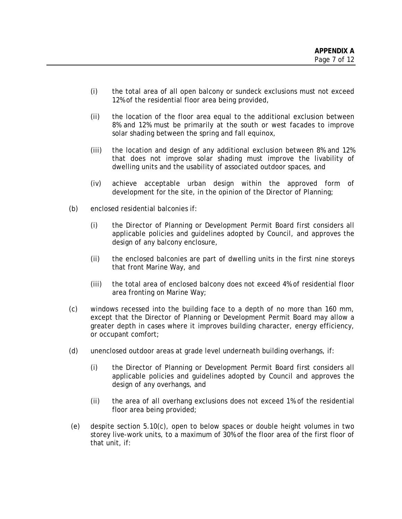- (i) the total area of all open balcony or sundeck exclusions must not exceed 12% of the residential floor area being provided,
- (ii) the location of the floor area equal to the additional exclusion between 8% and 12% must be primarily at the south or west facades to improve solar shading between the spring and fall equinox,
- (iii) the location and design of any additional exclusion between 8% and 12% that does not improve solar shading must improve the livability of dwelling units and the usability of associated outdoor spaces, and
- (iv) achieve acceptable urban design within the approved form of development for the site, in the opinion of the Director of Planning;
- (b) enclosed residential balconies if:
	- (i) the Director of Planning or Development Permit Board first considers all applicable policies and guidelines adopted by Council, and approves the design of any balcony enclosure,
	- (ii) the enclosed balconies are part of dwelling units in the first nine storeys that front Marine Way, and
	- (iii) the total area of enclosed balcony does not exceed 4% of residential floor area fronting on Marine Way;
- (c) windows recessed into the building face to a depth of no more than 160 mm, except that the Director of Planning or Development Permit Board may allow a greater depth in cases where it improves building character, energy efficiency, or occupant comfort;
- (d) unenclosed outdoor areas at grade level underneath building overhangs, if:
	- (i) the Director of Planning or Development Permit Board first considers all applicable policies and guidelines adopted by Council and approves the design of any overhangs, and
	- (ii) the area of all overhang exclusions does not exceed 1% of the residential floor area being provided;
- (e) despite section 5.10(c), open to below spaces or double height volumes in two storey live-work units, to a maximum of 30% of the floor area of the first floor of that unit, if: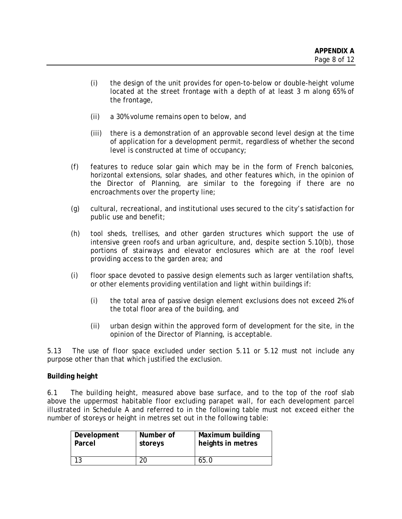- (i) the design of the unit provides for open-to-below or double-height volume located at the street frontage with a depth of at least 3 m along 65% of the frontage,
- (ii) a 30% volume remains open to below, and
- (iii) there is a demonstration of an approvable second level design at the time of application for a development permit, regardless of whether the second level is constructed at time of occupancy;
- (f) features to reduce solar gain which may be in the form of French balconies, horizontal extensions, solar shades, and other features which, in the opinion of the Director of Planning, are similar to the foregoing if there are no encroachments over the property line;
- (g) cultural, recreational, and institutional uses secured to the city's satisfaction for public use and benefit;
- (h) tool sheds, trellises, and other garden structures which support the use of intensive green roofs and urban agriculture, and, despite section 5.10(b), those portions of stairways and elevator enclosures which are at the roof level providing access to the garden area; and
- (i) floor space devoted to passive design elements such as larger ventilation shafts, or other elements providing ventilation and light within buildings if:
	- (i) the total area of passive design element exclusions does not exceed 2% of the total floor area of the building, and
	- (ii) urban design within the approved form of development for the site, in the opinion of the Director of Planning, is acceptable.

5.13 The use of floor space excluded under section 5.11 or 5.12 must not include any purpose other than that which justified the exclusion.

# **Building height**

6.1 The building height, measured above base surface, and to the top of the roof slab above the uppermost habitable floor excluding parapet wall, for each development parcel illustrated in Schedule A and referred to in the following table must not exceed either the number of storeys or height in metres set out in the following table:

| Development | Number of | Maximum building  |
|-------------|-----------|-------------------|
| Parcel      | storeys   | heights in metres |
|             | חר        | 65.0              |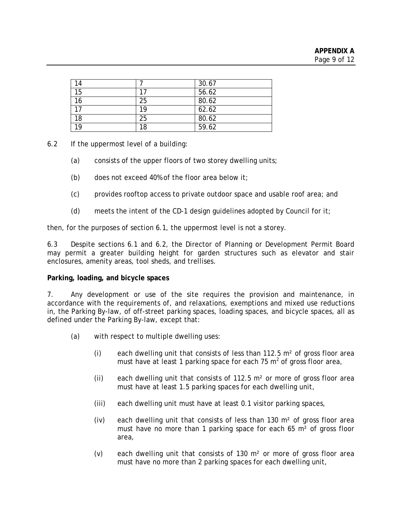| 14 |    | 30.67 |
|----|----|-------|
| 15 | 17 | 56.62 |
| 16 | 25 | 80.62 |
| 17 | 19 | 62.62 |
| 18 | 25 | 80.62 |
| 19 | 18 | 59.62 |

6.2 If the uppermost level of a building:

- (a) consists of the upper floors of two storey dwelling units;
- (b) does not exceed 40% of the floor area below it;
- (c) provides rooftop access to private outdoor space and usable roof area; and
- (d) meets the intent of the CD-1 design guidelines adopted by Council for it;

then, for the purposes of section 6.1, the uppermost level is not a storey.

6.3 Despite sections 6.1 and 6.2, the Director of Planning or Development Permit Board may permit a greater building height for garden structures such as elevator and stair enclosures, amenity areas, tool sheds, and trellises.

#### **Parking, loading, and bicycle spaces**

7. Any development or use of the site requires the provision and maintenance, in accordance with the requirements of, and relaxations, exemptions and mixed use reductions in, the Parking By-law, of off-street parking spaces, loading spaces, and bicycle spaces, all as defined under the Parking By-law, except that:

- (a) with respect to multiple dwelling uses:
	- (i) each dwelling unit that consists of less than 112.5 m² of gross floor area must have at least 1 parking space for each 75  $m^2$  of gross floor area,
	- (ii) each dwelling unit that consists of 112.5  $m<sup>2</sup>$  or more of gross floor area must have at least 1.5 parking spaces for each dwelling unit,
	- (iii) each dwelling unit must have at least 0.1 visitor parking spaces,
	- (iv) each dwelling unit that consists of less than 130  $m<sup>2</sup>$  of gross floor area must have no more than 1 parking space for each 65 m² of gross floor area,
	- (v) each dwelling unit that consists of 130 m² or more of gross floor area must have no more than 2 parking spaces for each dwelling unit,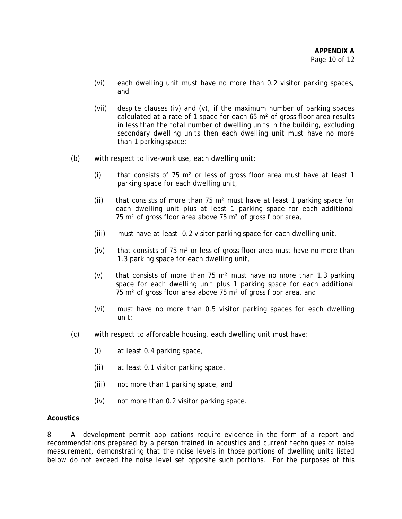- (vi) each dwelling unit must have no more than 0.2 visitor parking spaces, and
- (vii) despite clauses (iv) and (v), if the maximum number of parking spaces calculated at a rate of 1 space for each 65 m² of gross floor area results in less than the total number of dwelling units in the building, excluding secondary dwelling units then each dwelling unit must have no more than 1 parking space;
- (b) with respect to live-work use, each dwelling unit:
	- (i) that consists of 75  $m<sup>2</sup>$  or less of gross floor area must have at least 1 parking space for each dwelling unit,
	- (ii) that consists of more than 75  $m<sup>2</sup>$  must have at least 1 parking space for each dwelling unit plus at least 1 parking space for each additional 75 m² of gross floor area above 75 m² of gross floor area,
	- (iii) must have at least 0.2 visitor parking space for each dwelling unit,
	- (iv) that consists of 75  $m<sup>2</sup>$  or less of gross floor area must have no more than 1.3 parking space for each dwelling unit,
	- (v) that consists of more than 75 m<sup>2</sup> must have no more than 1.3 parking space for each dwelling unit plus 1 parking space for each additional 75 m² of gross floor area above 75 m² of gross floor area, and
	- (vi) must have no more than 0.5 visitor parking spaces for each dwelling unit;
- (c) with respect to affordable housing, each dwelling unit must have:
	- (i) at least 0.4 parking space,
	- (ii) at least 0.1 visitor parking space,
	- (iii) not more than 1 parking space, and
	- (iv) not more than 0.2 visitor parking space.

## **Acoustics**

8. All development permit applications require evidence in the form of a report and recommendations prepared by a person trained in acoustics and current techniques of noise measurement, demonstrating that the noise levels in those portions of dwelling units listed below do not exceed the noise level set opposite such portions. For the purposes of this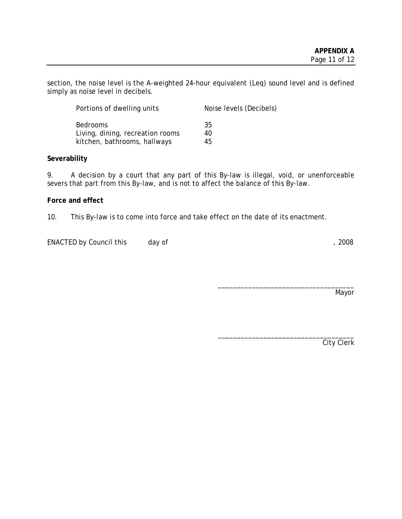section, the noise level is the A-weighted 24-hour equivalent (Leq) sound level and is defined simply as noise level in decibels.

| Portions of dwelling units       | Noise levels (Decibels) |
|----------------------------------|-------------------------|
| <b>Bedrooms</b>                  | 35                      |
| Living, dining, recreation rooms | 40                      |
| kitchen, bathrooms, hallways     | 45                      |

## **Severability**

9. A decision by a court that any part of this By-law is illegal, void, or unenforceable severs that part from this By-law, and is not to affect the balance of this By-law.

## **Force and effect**

10. This By-law is to come into force and take effect on the date of its enactment.

ENACTED by Council this day of  $\frac{1}{2008}$ 

Mayor

\_\_\_\_\_\_\_\_\_\_\_\_\_\_\_\_\_\_\_\_\_\_\_\_\_\_\_\_\_\_\_\_\_\_\_\_

\_\_\_\_\_\_\_\_\_\_\_\_\_\_\_\_\_\_\_\_\_\_\_\_\_\_\_\_\_\_\_\_\_\_\_\_

City Clerk